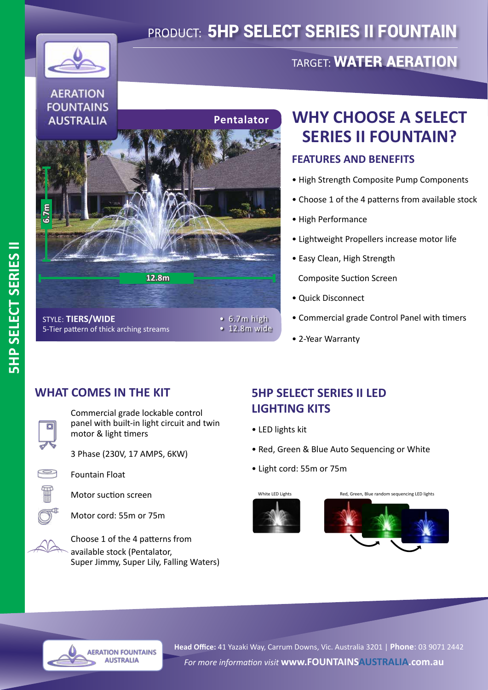# PRODUCT: 5HP SELECT SERIES II FOUNTAIN



### **AERATION FOUNTAINS AUSTRALIA**



STYLE: **TIERS/WIDE** 5-Tier pattern of thick arching streams

## **WHY CHOOSE A SELECT SERIES II FOUNTAIN?**

TARGET: WATER AERATION

#### **FEATURES AND BENEFITS**

- High Strength Composite Pump Components
- Choose 1 of the 4 patterns from available stock
- High Performance
- Lightweight Propellers increase motor life
- Easy Clean, High Strength

Composite Suction Screen

- Quick Disconnect
- Commercial grade Control Panel with timers
- 2-Year Warranty

### **WHAT COMES IN THE KIT**



Commercial grade lockable control panel with built-in light circuit and twin motor & light timers

3 Phase (230V, 17 AMPS, 6KW)

Fountain Float

Motor suction screen

Motor cord: 55m or 75m

Choose 1 of the 4 patterns from available stock (Pentalator, Super Jimmy, Super Lily, Falling Waters)

## **5HP SELECT SERIES II LED LIGHTING KITS**

• LED lights kit

• 6.7m high • 12.8m wide

- Red, Green & Blue Auto Sequencing or White
- Light cord: 55m or 75m





*For more information visit* **www.FOUNTAINSAUSTRALIA.com.au Head Office:** 41 Yazaki Way, Carrum Downs, Vic. Australia 3201 | **Phone**: 03 9071 2442